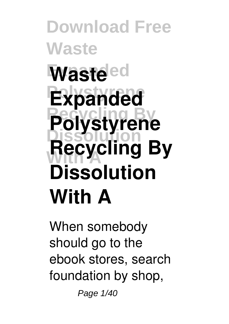**Download Free Waste Waste**ed **Expanded Recycling By Polystyrene Dissolution With A Recycling By Dissolution With A**

When somebody should go to the ebook stores, search foundation by shop,

Page 1/40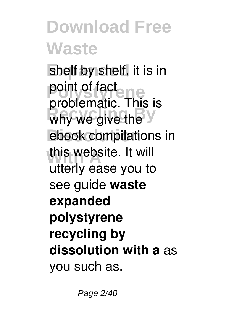shelf by shelf, it is in point of fact<br> *<u>problematic</u>* why we give the **V** ebook compilations in this website. It will problematic. This is utterly ease you to see guide **waste expanded polystyrene recycling by dissolution with a** as you such as.

Page 2/40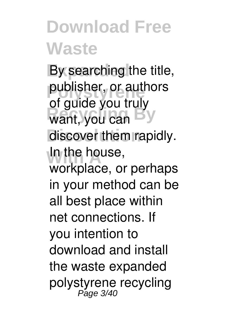By searching the title, publisher, or authors want, you can discover them rapidly. **In the house,** of guide you truly workplace, or perhaps in your method can be all best place within net connections. If you intention to download and install the waste expanded polystyrene recycling Page 3/40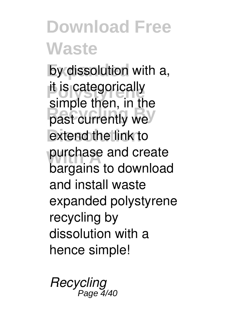by dissolution with a, it is categorically past currently we extend the link to purchase and create simple then, in the bargains to download and install waste expanded polystyrene recycling by dissolution with a hence simple!

*Recycling* Page 4/40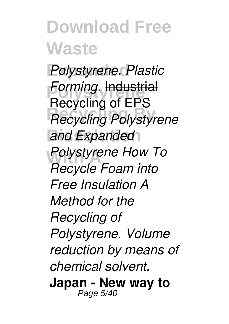**Expanded** *Polystyrene. Plastic* **Forming. Industrial Recycling Polystyrene** and Expanded *Polystyrene* How To Recycling of EPS *Recycle Foam into Free Insulation A Method for the Recycling of Polystyrene. Volume reduction by means of chemical solvent.* **Japan - New way to** Page 5/40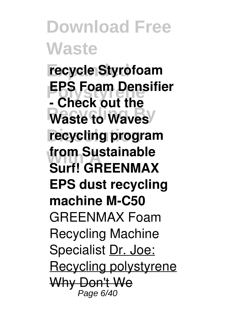**Expanded recycle Styrofoam EPS Foam Dens**<br>**- Check out the Waste to Waves recycling program from Sustainable**<br>Curti COLENIAAN **EPS Foam Densifier Surf! GREENMAX EPS dust recycling machine M-C50** GREENMAX Foam Recycling Machine Specialist Dr. Joe: Recycling polystyrene Why Don't We Page 6/40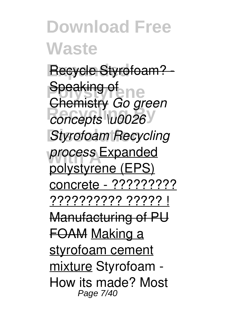Recycle Styrofoam? -**Speaking of new Recycling By** *concepts \u0026* **Styrofoam Recycling With A** *process* Expanded Chemistry *Go green* polystyrene (EPS) concrete - ????????? ?????????? ????? ! Manufacturing of PU FOAM Making a styrofoam cement mixture Styrofoam - How its made? Most Page 7/40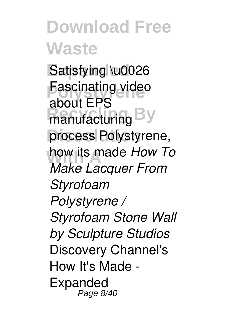Satisfying \u0026 **Fascinating video** manufacturing By process Polystyrene, how its made *How To* about EPS *Make Lacquer From Styrofoam Polystyrene / Styrofoam Stone Wall by Sculpture Studios* Discovery Channel's How It's Made - Expanded Page 8/40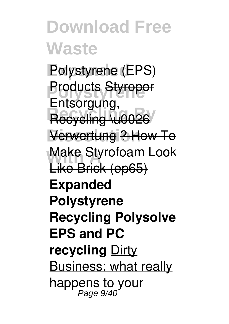**Polystyrene** (EPS) **Products Styropor** Recycling \u0026 **Dissolution** Verwertung ? How To **Make Styrofoam Look** Entsorgung, Like Brick (ep65) **Expanded Polystyrene Recycling Polysolve EPS and PC recycling** Dirty Business: what really happens to your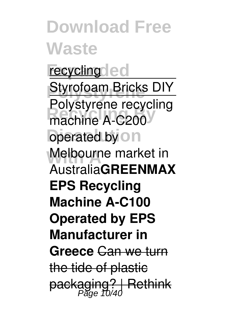**Download Free Waste** recycling led **Styrofoam Bricks DIY** machine A-C200 **operated by on Melbourne market in** Polystyrene recycling Australia**GREENMAX EPS Recycling Machine A-C100 Operated by EPS Manufacturer in Greece** Can we turn the tide of plastic packaging? | Rethink<br>Page 10/40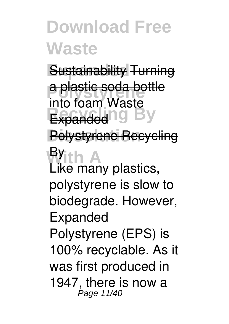**Sustainability Turning** a plastic soda bottle **Expanded IO By** Polystyrene Recycling **With A** into foam Waste Like many plastics, polystyrene is slow to biodegrade. However, Expanded Polystyrene (EPS) is 100% recyclable. As it was first produced in 1947, there is now a Page 11/40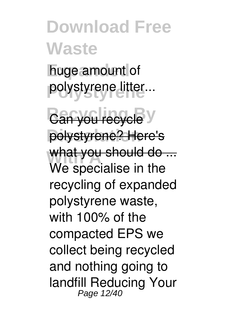huge amount of **Polystyrene** polystyrene litter...

Can you recycle y polystyrene? Here's What you should do ... We specialise in the recycling of expanded polystyrene waste, with 100% of the compacted EPS we collect being recycled and nothing going to landfill Reducing Your Page 12/40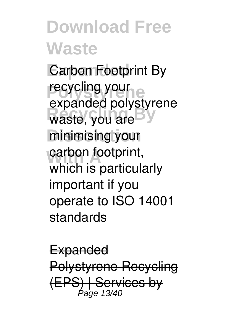**Carbon Footprint By** recycling your waste, you are **y** minimising your carbon footprint, expanded polystyrene which is particularly important if you operate to ISO 14001 standards

**Expanded** Polystyrene Recycling (EPS) | Services by  $P_{\text{A}}$  $\sim$  13/40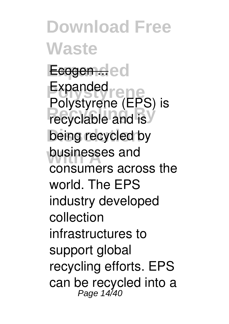**Download Free Waste Expanded** Ecogen ... **Polystyrene** Expanded **Recyclable and is** being recycled by **businesses** and Polystyrene (EPS) is consumers across the world. The EPS industry developed collection infrastructures to support global recycling efforts. EPS can be recycled into a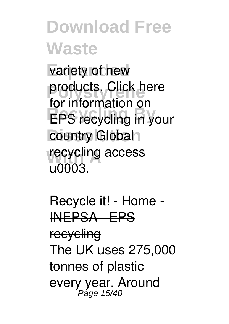variety of new products. Click here **EPS recycling in your** country Global<sub>1</sub> recycling access for information on u0003.

Recycle it! - Home - INEPSA - EPS recycling The UK uses 275,000 tonnes of plastic every year. Around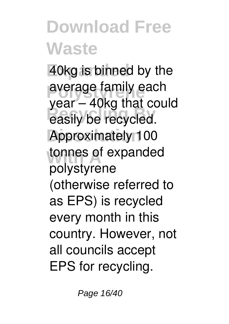40kg is binned by the average family each **Recycling By** easily be recycled. Approximately 100 tonnes of expanded year – 40kg that could polystyrene (otherwise referred to as EPS) is recycled every month in this country. However, not all councils accept EPS for recycling.

Page 16/40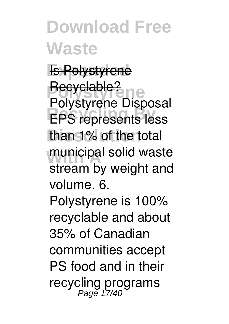**Expanded** Is Polystyrene **Polystyrene** Recyclable? **Recycling By** EPS represents less than 1% of the total municipal solid waste Polystyrene Disposal stream by weight and volume. 6.

Polystyrene is 100% recyclable and about 35% of Canadian communities accept PS food and in their recycling programs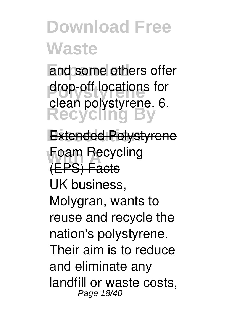and some others offer drop-off locations for **Recycling By** clean polystyrene. 6.

**Extended Polystyrene Foam Recycling** (EPS) Facts UK business, Molygran, wants to reuse and recycle the nation's polystyrene. Their aim is to reduce and eliminate any landfill or waste costs, Page 18/40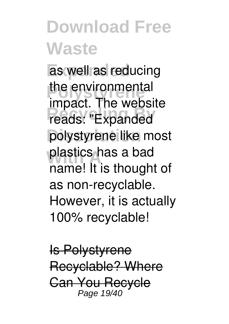as well as reducing the environmental reads: "Expanded polystyrene like most plastics has a bad impact. The website name! It is thought of as non-recyclable. However, it is actually 100% recyclable!

Is Polystyrene Recyclable? Where Can You Recycle Page 19/40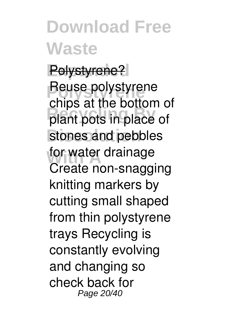Polystyrene? **Reuse polystyrene Recycling By** plant pots in place of stones and pebbles for water drainage chips at the bottom of Create non-snagging knitting markers by cutting small shaped from thin polystyrene trays Recycling is constantly evolving and changing so check back for Page 20/40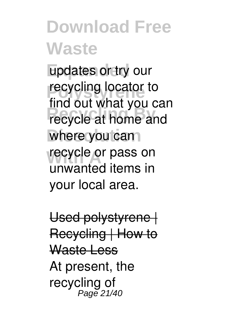updates or try our **Properties**<br> **Properties Recycle at home and** where you can **recycle or pass on** find out what you can unwanted items in your local area.

Used polystyrene | Recycling | How to Waste Less At present, the recycling of<br>Page 21/40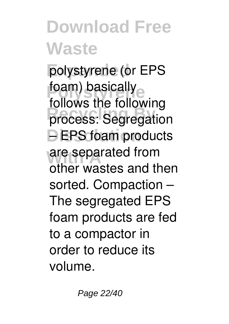polystyrene (or EPS foam) basically<br>follows the follow process: Segregation **DEPS foam products** are separated from follows the following other wastes and then sorted. Compaction – The segregated EPS foam products are fed to a compactor in order to reduce its volume.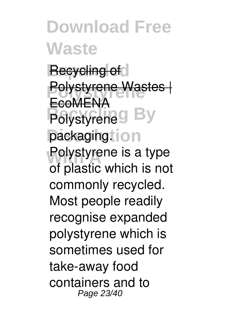**Recycling of Polystyrene** Polystyrene Wastes | **Polystyrene**<sup>S</sup> packagingtion **Polystyrene is a type EcoMENA** of plastic which is not commonly recycled. Most people readily recognise expanded polystyrene which is sometimes used for take-away food containers and to Page 23/40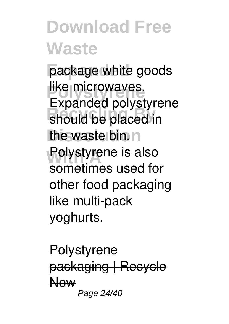package white goods like microwaves. should be placed in the waste bin. **Polystyrene is also** Expanded polystyrene sometimes used for other food packaging like multi-pack yoghurts.

**Polystyrene** packaging | Recycle Now Page 24/40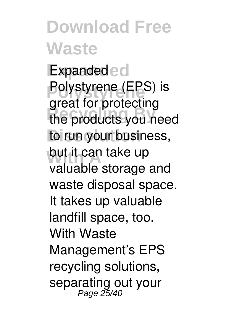**Download Free Waste Expanded** Expanded **Polystyrene** Polystyrene (EPS) is **Recycling By** the products you need to run your business, but it can take up great for protecting valuable storage and waste disposal space. It takes up valuable landfill space, too. With Waste Management's EPS recycling solutions, separating out your Page 25/40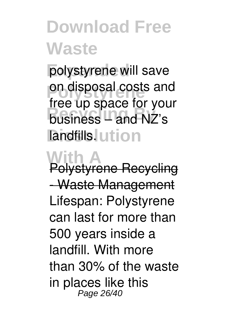polystyrene will save on disposal costs and hosiness – and NZ's landfills. Lution free up space for your

**With A** Polystyrene Recycling - Waste Management Lifespan: Polystyrene can last for more than 500 years inside a landfill. With more than 30% of the waste in places like this Page 26/40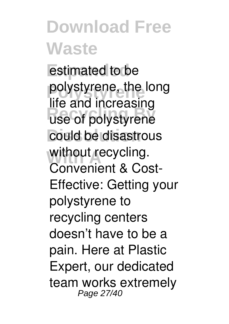estimated to be **Polystyrene** polystyrene, the long **Recycling By** use of polystyrene could be disastrous without recycling. life and increasing Convenient & Cost-Effective: Getting your polystyrene to recycling centers doesn't have to be a pain. Here at Plastic Expert, our dedicated team works extremely Page 27/40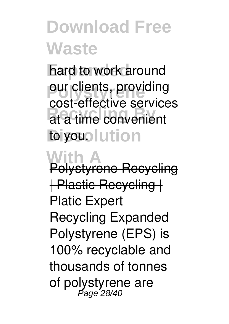hard to work around **Pour clients, providing Recycling By** at a time convenient to you. lution cost-effective services

**With A** Polystyrene Recycling | Plastic Recycling | **Platic Expert** Recycling Expanded Polystyrene (EPS) is 100% recyclable and thousands of tonnes of polystyrene are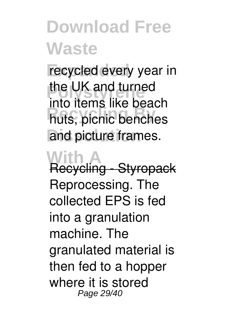recycled every year in the UK and turned **Recycling By** huts, picnic benches and picture frames. into items like beach

**With A** Recycling - Styropack Reprocessing. The collected EPS is fed into a granulation machine. The granulated material is then fed to a hopper where it is stored Page 29/40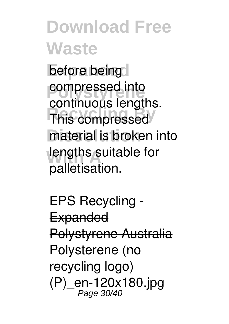**before being** *<u>compressed</u>* into **Recycling By** This compressed material is broken into lengths suitable for continuous lengths. palletisation.

**EPS Recycling Expanded** Polystyrene Australia Polysterene (no recycling logo) (P)\_en-120x180.jpg Page 30/40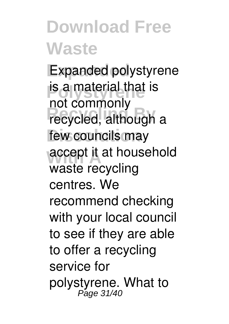**Expanded** Expanded polystyrene **is a material that is** recycled, although a few councils may accept it at household not commonly waste recycling centres. We recommend checking with your local council to see if they are able to offer a recycling service for polystyrene. What to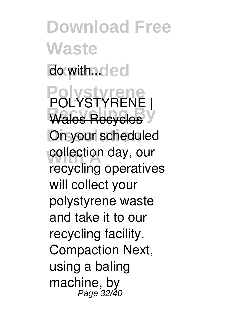**Download Free Waste** do with...dec **Polystyrene** POLYSTYRENE | **Wales Recycles On your scheduled** collection day, our recycling operatives will collect your polystyrene waste and take it to our recycling facility. Compaction Next, using a baling machine, by Page 32/40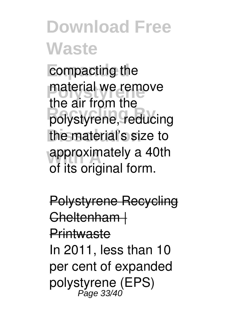compacting the material we remove **Recycling By** polystyrene, reducing the material's size to approximately a 40th the air from the of its original form.

Polystyrene Recycling Cheltenham | **Printwaste** In 2011, less than 10 per cent of expanded polystyrene (EPS) Page 33/40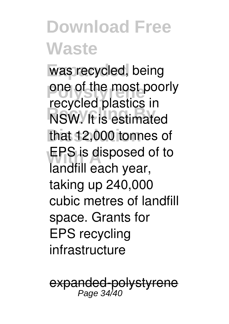was recycled, being one of the most poorly **Recycled** Busines in that 12,000 tonnes of **EPS** is disposed of to recycled plastics in landfill each year, taking up 240,000 cubic metres of landfill space. Grants for EPS recycling infrastructure

<del>d-polystyrene</del> Page 34/40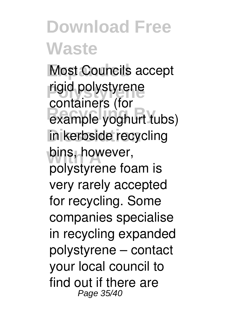**Most Councils accept** rigid polystyrene example yoghurt tubs) in kerbside recycling bins, however, containers (for polystyrene foam is very rarely accepted for recycling. Some companies specialise in recycling expanded polystyrene – contact your local council to find out if there are Page 35/40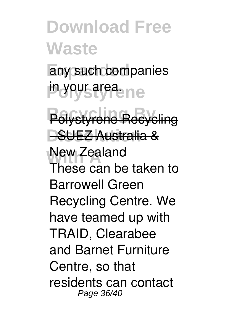any such companies **in your area.ne** 

**Recycling By** Polystyrene Recycling **DSUEZ Australia &** 

**New Zealand** These can be taken to Barrowell Green Recycling Centre. We have teamed up with TRAID, Clearabee and Barnet Furniture Centre, so that residents can contact Page 36/40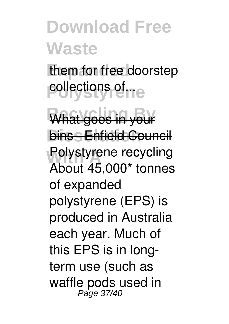them for free doorstep **collections of The** 

What goes in your **bins · Enfield Council Polystyrene recycling** About 45,000\* tonnes of expanded polystyrene (EPS) is produced in Australia each year. Much of this EPS is in longterm use (such as waffle pods used in Page 37/40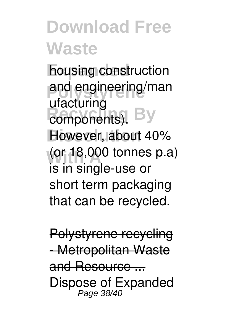**housing construction** and engineering/man **Recisioning**<br> **Recomponents**). By However, about 40% **With A** (or 18,000 tonnes p.a) ufacturing is in single-use or short term packaging that can be recycled.

Polystyrene recycling - Metropolitan Waste and Resource ... Dispose of Expanded<br>Page 38/40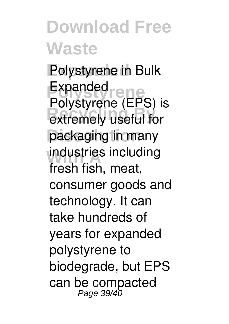**Polystyrene in Bulk Polystyrene** Expanded **Recycling Lines** packaging in many industries including Polystyrene (EPS) is fresh fish, meat, consumer goods and technology. It can take hundreds of years for expanded polystyrene to biodegrade, but EPS can be compacted<br>Page 39/40